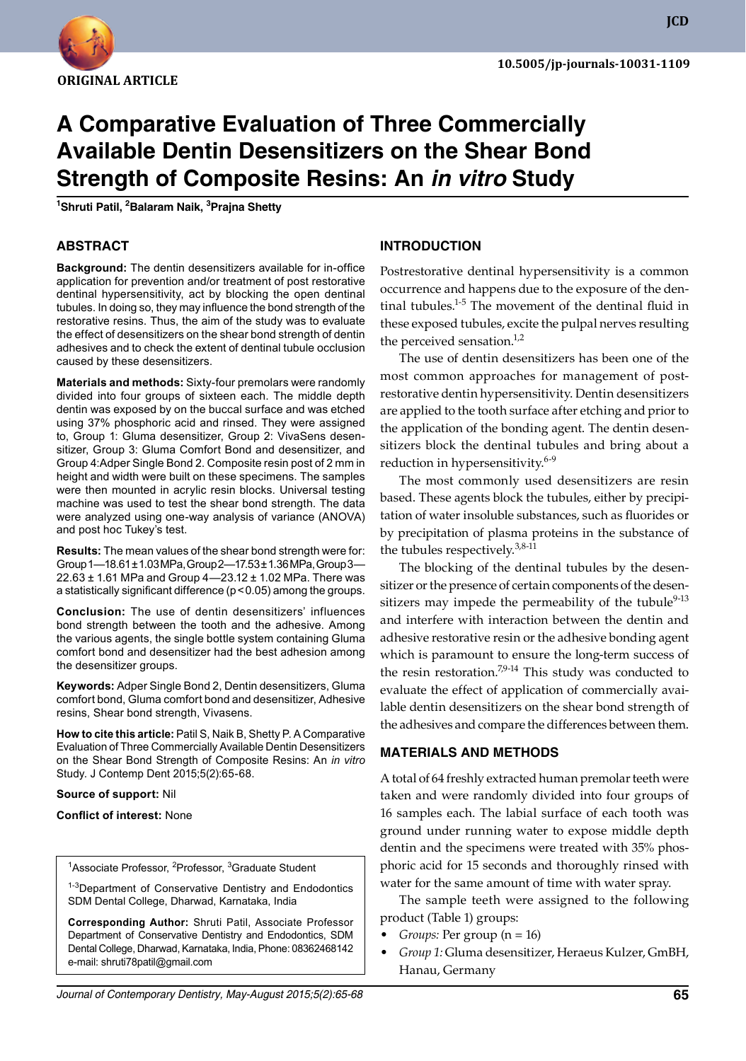

# **A Comparative Evaluation of Three Commercially Available Dentin Desensitizers on the Shear Bond Strength of Composite Resins: An** *in vitro* **Study 1**

**Shruti Patil, 2 Balaram Naik, 3 Prajna Shetty**

## **ABSTRACT**

**Background:** The dentin desensitizers available for in-office application for prevention and/or treatment of post restorative dentinal hypersensitivity, act by blocking the open dentinal tubules. In doing so, they may influence the bond strength of the restorative resins. Thus, the aim of the study was to evaluate the effect of desensitizers on the shear bond strength of dentin adhesives and to check the extent of dentinal tubule occlusion caused by these desensitizers.

**Materials and methods:** Sixty-four premolars were randomly divided into four groups of sixteen each. The middle depth dentin was exposed by on the buccal surface and was etched using 37% phosphoric acid and rinsed. They were assigned to, Group 1: Gluma desensitizer, Group 2: VivaSens desensitizer, Group 3: Gluma Comfort Bond and desensitizer, and Group 4:Adper Single Bond 2. Composite resin post of 2 mm in height and width were built on these specimens. The samples were then mounted in acrylic resin blocks. Universal testing machine was used to test the shear bond strength. The data were analyzed using one-way analysis of variance (ANOVA) and post hoc Tukey's test.

**Results:** The mean values of the shear bond strength were for: Group 1—18.61 ± 1.03 MPa, Group 2—17.53 ± 1.36 MPa, Group 3— 22.63 ± 1.61 MPa and Group 4—23.12 ± 1.02 MPa. There was a statistically significant difference (p<0.05) among the groups.

**Conclusion:** The use of dentin desensitizers' influences bond strength between the tooth and the adhesive. Among the various agents, the single bottle system containing Gluma comfort bond and desensitizer had the best adhesion among the desensitizer groups.

Keywords: Adper Single Bond 2, Dentin desensitizers, Gluma comfort bond, Gluma comfort bond and desensitizer, Adhesive resins, shear bond strength, Vivasens.

**How to cite this article:** Patil S, Naik B, Shetty P. A Comparative Evaluation of Three Commercially Available Dentin Desensitizers on the Shear Bond Strength of Composite Resins: An *in vitro* Study. J Contemp Dent 2015;5(2):65-68.

#### **Source of support:** Nil

#### **Conflict of interest:** None

<sup>1</sup>Associate Professor, <sup>2</sup>Professor, <sup>3</sup>Graduate Student

<sup>1-3</sup>Department of Conservative Dentistry and Endodontics SDM Dental College, Dharwad, Karnataka, India

**Corresponding Author:** Shruti Patil, Associate Professor Department of Conservative Dentistry and Endodontics, SDM Dental College, Dharwad, Karnataka, India, Phone: 08362468142 e-mail: shruti78patil@gmail.com

#### **Introduction**

Postrestorative dentinal hypersensitivity is a common occurrence and happens due to the exposure of the dentinal tubules. $1-5$  The movement of the dentinal fluid in these exposed tubules, excite the pulpal nerves resulting the perceived sensation. $1/2$ 

The use of dentin desensitizers has been one of the most common approaches for management of postrestorative dentin hypersensitivity. Dentin desensitizers are applied to the tooth surface after etching and prior to the application of the bonding agent. The dentin desensitizers block the dentinal tubules and bring about a reduction in hypersensitivity. $6-9$ 

The most commonly used desensitizers are resin based. These agents block the tubules, either by precipitation of water insoluble substances, such as fluorides or by precipitation of plasma proteins in the substance of the tubules respectively. $3,8-11$ 

The blocking of the dentinal tubules by the desensitizer or the presence of certain components of the desensitizers may impede the permeability of the tubule<sup>9-13</sup> and interfere with interaction between the dentin and adhesive restorative resin or the adhesive bonding agent which is paramount to ensure the long-term success of the resin restoration. $7,9-14$  This study was conducted to evaluate the effect of application of commercially available dentin desensitizers on the shear bond strength of the adhesives and compare the differences between them.

### **Materials and Methods**

A total of 64 freshly extracted human premolar teeth were taken and were randomly divided into four groups of 16 samples each. The labial surface of each tooth was ground under running water to expose middle depth dentin and the specimens were treated with 35% phosphoric acid for 15 seconds and thoroughly rinsed with water for the same amount of time with water spray.

The sample teeth were assigned to the following product (Table 1) groups:

- *Groups:* Per group (n = 16)
- *Group 1:* Gluma desensitizer, Heraeus Kulzer, GmBH, Hanau, Germany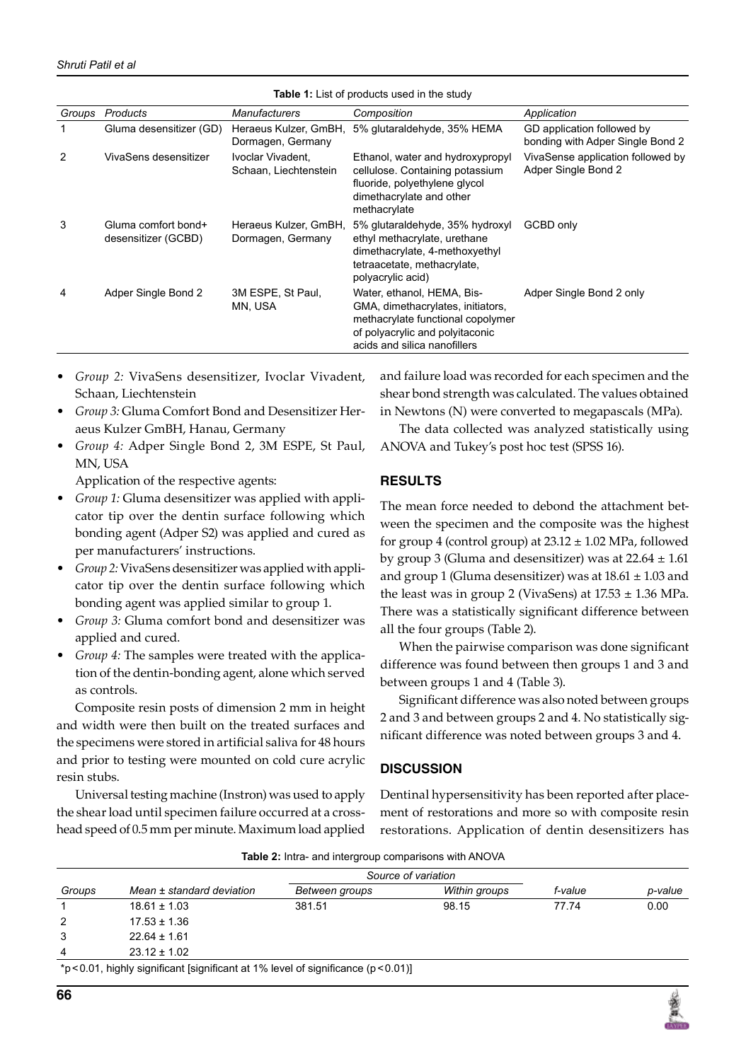| <b>Table 1:</b> List of products used in the study |                                            |                                            |                                                                                                                                                                         |                                                                |  |  |  |
|----------------------------------------------------|--------------------------------------------|--------------------------------------------|-------------------------------------------------------------------------------------------------------------------------------------------------------------------------|----------------------------------------------------------------|--|--|--|
| Groups                                             | Products                                   | Manufacturers                              | Composition                                                                                                                                                             | Application                                                    |  |  |  |
|                                                    | Gluma desensitizer (GD)                    | Heraeus Kulzer, GmBH,<br>Dormagen, Germany | 5% glutaraldehyde, 35% HEMA                                                                                                                                             | GD application followed by<br>bonding with Adper Single Bond 2 |  |  |  |
| 2                                                  | VivaSens desensitizer                      | Ivoclar Vivadent.<br>Schaan, Liechtenstein | Ethanol, water and hydroxypropyl<br>cellulose. Containing potassium<br>fluoride, polyethylene glycol<br>dimethacrylate and other<br>methacrylate                        | VivaSense application followed by<br>Adper Single Bond 2       |  |  |  |
| 3                                                  | Gluma comfort bond+<br>desensitizer (GCBD) | Heraeus Kulzer, GmBH,<br>Dormagen, Germany | 5% glutaraldehyde, 35% hydroxyl<br>ethyl methacrylate, urethane<br>dimethacrylate, 4-methoxyethyl<br>tetraacetate, methacrylate,<br>polyacrylic acid)                   | GCBD only                                                      |  |  |  |
| 4                                                  | Adper Single Bond 2                        | 3M ESPE, St Paul.<br>MN, USA               | Water, ethanol, HEMA, Bis-<br>GMA, dimethacrylates, initiators,<br>methacrylate functional copolymer<br>of polyacrylic and polyitaconic<br>acids and silica nanofillers | Adper Single Bond 2 only                                       |  |  |  |

**Table 1:** List of products used in the study of products used in the study of products used in the study of products used in the study of the study of the study of the study of the study of the study of the study of the s

- *Group 2:* Vivasens desensitizer, Ivoclar Vivadent, Schaan, Liechtenstein
- *Group 3:* Gluma Comfort Bond and Desensitizer Heraeus Kulzer GmBH, Hanau, Germany
- *Group 4:* Adper Single Bond 2, 3M ESPE, St Paul, MN, USA

Application of the respective agents:

- *Group 1:* Gluma desensitizer was applied with applicator tip over the dentin surface following which bonding agent (Adper S2) was applied and cured as per manufacturers' instructions.
- Group 2: VivaSens desensitizer was applied with applicator tip over the dentin surface following which bonding agent was applied similar to group 1.
- *Group 3:* Gluma comfort bond and desensitizer was applied and cured.
- *Group 4:* The samples were treated with the application of the dentin-bonding agent, alone which served as controls.

Composite resin posts of dimension 2 mm in height and width were then built on the treated surfaces and the specimens were stored in artificial saliva for 48 hours and prior to testing were mounted on cold cure acrylic resin stubs.

Universal testing machine (Instron) was used to apply the shear load until specimen failure occurred at a crosshead speed of 0.5 mm per minute. Maximum load applied

and failure load was recorded for each specimen and the shear bond strength was calculated. The values obtained in Newtons (N) were converted to megapascals (MPa).

The data collected was analyzed statistically using ANOVA and Tukey's post hoc test (SPSS 16).

# **Results**

The mean force needed to debond the attachment between the specimen and the composite was the highest for group 4 (control group) at  $23.12 \pm 1.02$  MPa, followed by group 3 (Gluma and desensitizer) was at  $22.64 \pm 1.61$ and group 1 (Gluma desensitizer) was at  $18.61 \pm 1.03$  and the least was in group 2 (VivaSens) at  $17.53 \pm 1.36$  MPa. There was a statistically significant difference between all the four groups (Table 2).

When the pairwise comparison was done significant difference was found between then groups 1 and 3 and between groups 1 and 4 (Table 3).

Significant difference was also noted between groups 2 and 3 and between groups 2 and 4. No statistically significant difference was noted between groups 3 and 4.

# **Discussion**

Dentinal hypersensitivity has been reported after placement of restorations and more so with composite resin restorations. Application of dentin desensitizers has

| Table 2: Intra- and intergroup comparisons with ANOVA |  |
|-------------------------------------------------------|--|
|-------------------------------------------------------|--|

| <b>TODIO E.</b> Thing and intergroup companionic with the VIT |                                                                                       |                     |               |         |         |  |  |
|---------------------------------------------------------------|---------------------------------------------------------------------------------------|---------------------|---------------|---------|---------|--|--|
|                                                               |                                                                                       | Source of variation |               |         |         |  |  |
| Groups                                                        | Mean ± standard deviation                                                             | Between groups      | Within groups | f-value | p-value |  |  |
|                                                               | $18.61 \pm 1.03$                                                                      | 381.51              | 98.15         | 77.74   | 0.00    |  |  |
| 2                                                             | $17.53 \pm 1.36$                                                                      |                     |               |         |         |  |  |
| 3                                                             | $22.64 \pm 1.61$                                                                      |                     |               |         |         |  |  |
| $\overline{4}$                                                | $23.12 \pm 1.02$                                                                      |                     |               |         |         |  |  |
|                                                               | *p < 0.01, highly significant [significant at 1% level of significance ( $p$ < 0.01)] |                     |               |         |         |  |  |

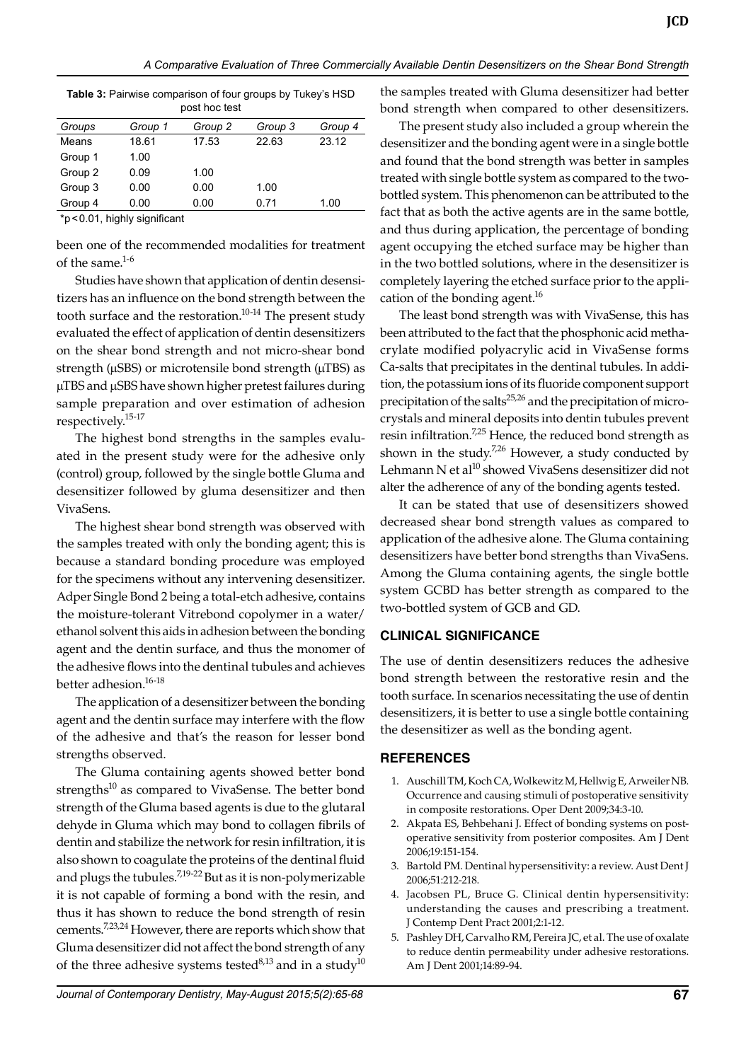| poul 1100 loui                                              |         |         |         |         |  |  |  |
|-------------------------------------------------------------|---------|---------|---------|---------|--|--|--|
| Groups                                                      | Group 1 | Group 2 | Group 3 | Group 4 |  |  |  |
| Means                                                       | 18.61   | 17.53   | 22.63   | 23.12   |  |  |  |
| Group 1                                                     | 1.00    |         |         |         |  |  |  |
| Group 2                                                     | 0.09    | 1.00    |         |         |  |  |  |
| Group 3                                                     | 0.00    | 0.00    | 1.00    |         |  |  |  |
| Group 4                                                     | 0.00    | 0.00    | 0.71    | 1.00    |  |  |  |
| $\cdot$<br>$\sim$ $\sim$ $\sim$ $\sim$ $\sim$ $\sim$ $\sim$ |         |         |         |         |  |  |  |

**Table 3:** Pairwise comparison of four groups by Tukey's HSD post hoc test

\*p<0.01, highly significant

been one of the recommended modalities for treatment of the same. $1-6$ 

 Studies have shown that application of dentin desensitizers has an influence on the bond strength between the tooth surface and the restoration.<sup>10-14</sup> The present study evaluated the effect of application of dentin desensitizers on the shear bond strength and not micro-shear bond strength ( $\mu$ SBS) or microtensile bond strength ( $\mu$ TBS) as µTBS and µSBS have shown higher pretest failures during sample preparation and over estimation of adhesion respectively.15-17

The highest bond strengths in the samples evaluated in the present study were for the adhesive only (control) group, followed by the single bottle Gluma and desensitizer followed by gluma desensitizer and then VivaSens.

The highest shear bond strength was observed with the samples treated with only the bonding agent; this is because a standard bonding procedure was employed for the specimens without any intervening desensitizer. Adper Single Bond 2 being a total-etch adhesive, contains the moisture-tolerant Vitrebond copolymer in a water/ ethanol solvent this aids in adhesion between the bonding agent and the dentin surface, and thus the monomer of the adhesive flows into the dentinal tubules and achieves better adhesion.<sup>16-18</sup>

The application of a desensitizer between the bonding agent and the dentin surface may interfere with the flow of the adhesive and that's the reason for lesser bond strengths observed.

The Gluma containing agents showed better bond strengths $10$  as compared to VivaSense. The better bond strength of the gluma based agents is due to the glutaral dehyde in Gluma which may bond to collagen fibrils of dentin and stabilize the network for resin infiltration, it is also shown to coagulate the proteins of the dentinal fluid and plugs the tubules.<sup>7,19-22</sup> But as it is non-polymerizable it is not capable of forming a bond with the resin, and thus it has shown to reduce the bond strength of resin cements.7,23,24 However, there are reports which show that Gluma desensitizer did not affect the bond strength of any of the three adhesive systems tested $8,13$  and in a study $10$  the samples treated with gluma desensitizer had better bond strength when compared to other desensitizers.

The present study also included a group wherein the desensitizer and the bonding agent were in a single bottle and found that the bond strength was better in samples treated with single bottle system as compared to the twobottled system. This phenomenon can be attributed to the fact that as both the active agents are in the same bottle, and thus during application, the percentage of bonding agent occupying the etched surface may be higher than in the two bottled solutions, where in the desensitizer is completely layering the etched surface prior to the application of the bonding agent. $^{16}$ 

The least bond strength was with VivaSense, this has been attributed to the fact that the phosphonic acid methacrylate modified polyacrylic acid in VivaSense forms Ca-salts that precipitates in the dentinal tubules. In addition, the potassium ions of its fluoride component support precipitation of the salts<sup>25,26</sup> and the precipitation of microcrystals and mineral deposits into dentin tubules prevent resin infiltration.<sup>7,25</sup> Hence, the reduced bond strength as shown in the study.<sup>7,26</sup> However, a study conducted by Lehmann N et al<sup>10</sup> showed VivaSens desensitizer did not alter the adherence of any of the bonding agents tested.

It can be stated that use of desensitizers showed decreased shear bond strength values as compared to application of the adhesive alone. The Gluma containing desensitizers have better bond strengths than VivaSens. Among the Gluma containing agents, the single bottle system GCBD has better strength as compared to the two-bottled system of GCB and GD.

# **Clinical Significance**

The use of dentin desensitizers reduces the adhesive bond strength between the restorative resin and the tooth surface. In scenarios necessitating the use of dentin desensitizers, it is better to use a single bottle containing the desensitizer as well as the bonding agent.

### **References**

- 1. Auschill TM, Koch CA, Wolkewitz M, Hellwig E, Arweiler NB. Occurrence and causing stimuli of postoperative sensitivity in composite restorations. Oper Dent 2009;34:3-10.
- 2. Akpata ES, Behbehani J. Effect of bonding systems on postoperative sensitivity from posterior composites. Am J Dent 2006;19:151-154.
- 3. Bartold PM. Dentinal hypersensitivity: a review. Aust Dent J 2006;51:212-218.
- 4. Jacobsen PL, Bruce G. Clinical dentin hypersensitivity: understanding the causes and prescribing a treatment. J Contemp Dent Pract 2001;2:1-12.
- 5. Pashley DH, Carvalho RM, Pereira JC, et al. The use of oxalate to reduce dentin permeability under adhesive restorations. Am J Dent 2001;14:89-94.